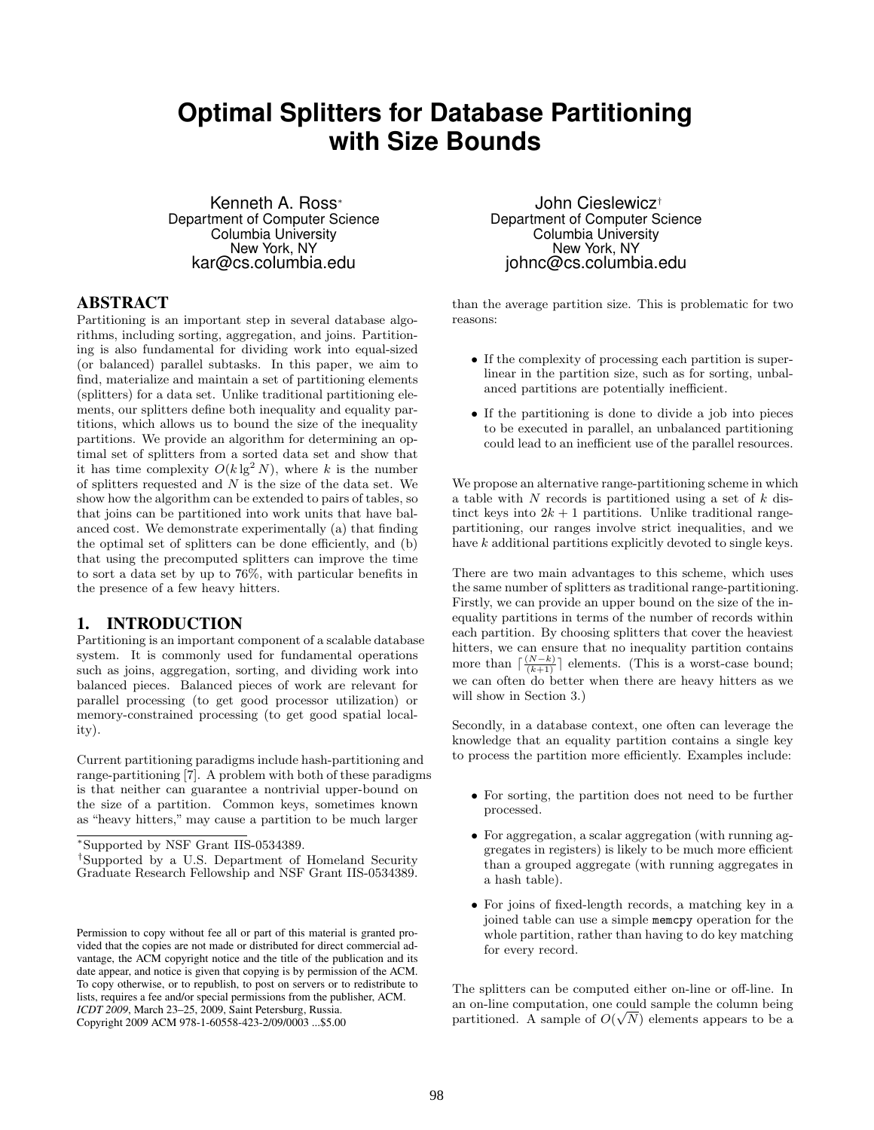# **Optimal Splitters for Database Partitioning with Size Bounds**

Kenneth A. Ross<sup>∗</sup> Department of Computer Science Columbia University New York, NY kar@cs.columbia.edu

#### ABSTRACT

Partitioning is an important step in several database algorithms, including sorting, aggregation, and joins. Partitioning is also fundamental for dividing work into equal-sized (or balanced) parallel subtasks. In this paper, we aim to find, materialize and maintain a set of partitioning elements (splitters) for a data set. Unlike traditional partitioning elements, our splitters define both inequality and equality partitions, which allows us to bound the size of the inequality partitions. We provide an algorithm for determining an optimal set of splitters from a sorted data set and show that it has time complexity  $O(k \lg^2 N)$ , where k is the number of splitters requested and  $N$  is the size of the data set. We show how the algorithm can be extended to pairs of tables, so that joins can be partitioned into work units that have balanced cost. We demonstrate experimentally (a) that finding the optimal set of splitters can be done efficiently, and (b) that using the precomputed splitters can improve the time to sort a data set by up to 76%, with particular benefits in the presence of a few heavy hitters.

### 1. INTRODUCTION

Partitioning is an important component of a scalable database system. It is commonly used for fundamental operations such as joins, aggregation, sorting, and dividing work into balanced pieces. Balanced pieces of work are relevant for parallel processing (to get good processor utilization) or memory-constrained processing (to get good spatial locality).

Current partitioning paradigms include hash-partitioning and range-partitioning [7]. A problem with both of these paradigms is that neither can guarantee a nontrivial upper-bound on the size of a partition. Common keys, sometimes known as "heavy hitters," may cause a partition to be much larger

John Cieslewicz† Department of Computer Science Columbia University New York, NY johnc@cs.columbia.edu

than the average partition size. This is problematic for two reasons:

- If the complexity of processing each partition is superlinear in the partition size, such as for sorting, unbalanced partitions are potentially inefficient.
- If the partitioning is done to divide a job into pieces to be executed in parallel, an unbalanced partitioning could lead to an inefficient use of the parallel resources.

We propose an alternative range-partitioning scheme in which a table with  $N$  records is partitioned using a set of  $k$  distinct keys into  $2k + 1$  partitions. Unlike traditional rangepartitioning, our ranges involve strict inequalities, and we have  $k$  additional partitions explicitly devoted to single keys.

There are two main advantages to this scheme, which uses the same number of splitters as traditional range-partitioning. Firstly, we can provide an upper bound on the size of the inequality partitions in terms of the number of records within each partition. By choosing splitters that cover the heaviest hitters, we can ensure that no inequality partition contains more than  $\lceil \frac{(N-k)}{(k+1)} \rceil$  elements. (This is a worst-case bound; we can often do better when there are heavy hitters as we will show in Section 3.)

Secondly, in a database context, one often can leverage the knowledge that an equality partition contains a single key to process the partition more efficiently. Examples include:

- For sorting, the partition does not need to be further processed.
- For aggregation, a scalar aggregation (with running aggregates in registers) is likely to be much more efficient than a grouped aggregate (with running aggregates in a hash table).
- For joins of fixed-length records, a matching key in a joined table can use a simple memcpy operation for the whole partition, rather than having to do key matching for every record.

The splitters can be computed either on-line or off-line. In an on-line computation, one could sample the column being √ partitioned. A sample of  $O(\sqrt{N})$  elements appears to be a

<sup>∗</sup>Supported by NSF Grant IIS-0534389.

<sup>†</sup>Supported by a U.S. Department of Homeland Security Graduate Research Fellowship and NSF Grant IIS-0534389.

Permission to copy without fee all or part of this material is granted provided that the copies are not made or distributed for direct commercial advantage, the ACM copyright notice and the title of the publication and its date appear, and notice is given that copying is by permission of the ACM. To copy otherwise, or to republish, to post on servers or to redistribute to lists, requires a fee and/or special permissions from the publisher, ACM. *ICDT 2009*, March 23–25, 2009, Saint Petersburg, Russia. Copyright 2009 ACM 978-1-60558-423-2/09/0003 ...\$5.00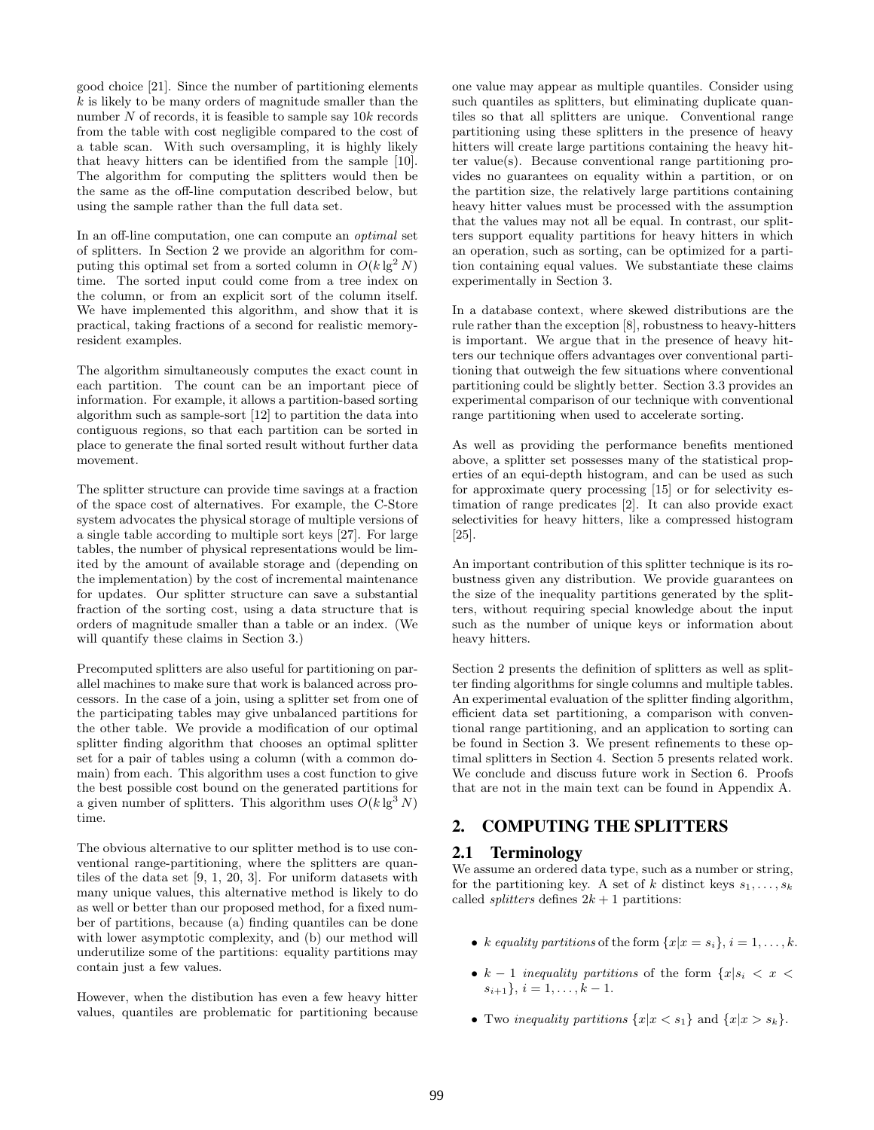good choice [21]. Since the number of partitioning elements  $k$  is likely to be many orders of magnitude smaller than the number  $N$  of records, it is feasible to sample say  $10k$  records from the table with cost negligible compared to the cost of a table scan. With such oversampling, it is highly likely that heavy hitters can be identified from the sample [10]. The algorithm for computing the splitters would then be the same as the off-line computation described below, but using the sample rather than the full data set.

In an off-line computation, one can compute an optimal set of splitters. In Section 2 we provide an algorithm for computing this optimal set from a sorted column in  $O(k \lg^2 N)$ time. The sorted input could come from a tree index on the column, or from an explicit sort of the column itself. We have implemented this algorithm, and show that it is practical, taking fractions of a second for realistic memoryresident examples.

The algorithm simultaneously computes the exact count in each partition. The count can be an important piece of information. For example, it allows a partition-based sorting algorithm such as sample-sort [12] to partition the data into contiguous regions, so that each partition can be sorted in place to generate the final sorted result without further data movement.

The splitter structure can provide time savings at a fraction of the space cost of alternatives. For example, the C-Store system advocates the physical storage of multiple versions of a single table according to multiple sort keys [27]. For large tables, the number of physical representations would be limited by the amount of available storage and (depending on the implementation) by the cost of incremental maintenance for updates. Our splitter structure can save a substantial fraction of the sorting cost, using a data structure that is orders of magnitude smaller than a table or an index. (We will quantify these claims in Section 3.)

Precomputed splitters are also useful for partitioning on parallel machines to make sure that work is balanced across processors. In the case of a join, using a splitter set from one of the participating tables may give unbalanced partitions for the other table. We provide a modification of our optimal splitter finding algorithm that chooses an optimal splitter set for a pair of tables using a column (with a common domain) from each. This algorithm uses a cost function to give the best possible cost bound on the generated partitions for a given number of splitters. This algorithm uses  $O(k \lg^3 N)$ time.

The obvious alternative to our splitter method is to use conventional range-partitioning, where the splitters are quantiles of the data set [9, 1, 20, 3]. For uniform datasets with many unique values, this alternative method is likely to do as well or better than our proposed method, for a fixed number of partitions, because (a) finding quantiles can be done with lower asymptotic complexity, and (b) our method will underutilize some of the partitions: equality partitions may contain just a few values.

However, when the distibution has even a few heavy hitter values, quantiles are problematic for partitioning because one value may appear as multiple quantiles. Consider using such quantiles as splitters, but eliminating duplicate quantiles so that all splitters are unique. Conventional range partitioning using these splitters in the presence of heavy hitters will create large partitions containing the heavy hitter value(s). Because conventional range partitioning provides no guarantees on equality within a partition, or on the partition size, the relatively large partitions containing heavy hitter values must be processed with the assumption that the values may not all be equal. In contrast, our splitters support equality partitions for heavy hitters in which an operation, such as sorting, can be optimized for a partition containing equal values. We substantiate these claims experimentally in Section 3.

In a database context, where skewed distributions are the rule rather than the exception [8], robustness to heavy-hitters is important. We argue that in the presence of heavy hitters our technique offers advantages over conventional partitioning that outweigh the few situations where conventional partitioning could be slightly better. Section 3.3 provides an experimental comparison of our technique with conventional range partitioning when used to accelerate sorting.

As well as providing the performance benefits mentioned above, a splitter set possesses many of the statistical properties of an equi-depth histogram, and can be used as such for approximate query processing [15] or for selectivity estimation of range predicates [2]. It can also provide exact selectivities for heavy hitters, like a compressed histogram [25].

An important contribution of this splitter technique is its robustness given any distribution. We provide guarantees on the size of the inequality partitions generated by the splitters, without requiring special knowledge about the input such as the number of unique keys or information about heavy hitters.

Section 2 presents the definition of splitters as well as splitter finding algorithms for single columns and multiple tables. An experimental evaluation of the splitter finding algorithm, efficient data set partitioning, a comparison with conventional range partitioning, and an application to sorting can be found in Section 3. We present refinements to these optimal splitters in Section 4. Section 5 presents related work. We conclude and discuss future work in Section 6. Proofs that are not in the main text can be found in Appendix A.

# 2. COMPUTING THE SPLITTERS

### 2.1 Terminology

We assume an ordered data type, such as a number or string, for the partitioning key. A set of k distinct keys  $s_1, \ldots, s_k$ called *splitters* defines  $2k + 1$  partitions:

- k equality partitions of the form  $\{x|x=s_i\}, i=1,\ldots,k.$
- $k-1$  inequality partitions of the form  $\{x|s_i \leq x \leq x\}$  $s_{i+1}$ ,  $i = 1, \ldots, k-1$ .
- Two inequality partitions  $\{x | x < s_1\}$  and  $\{x | x > s_k\}.$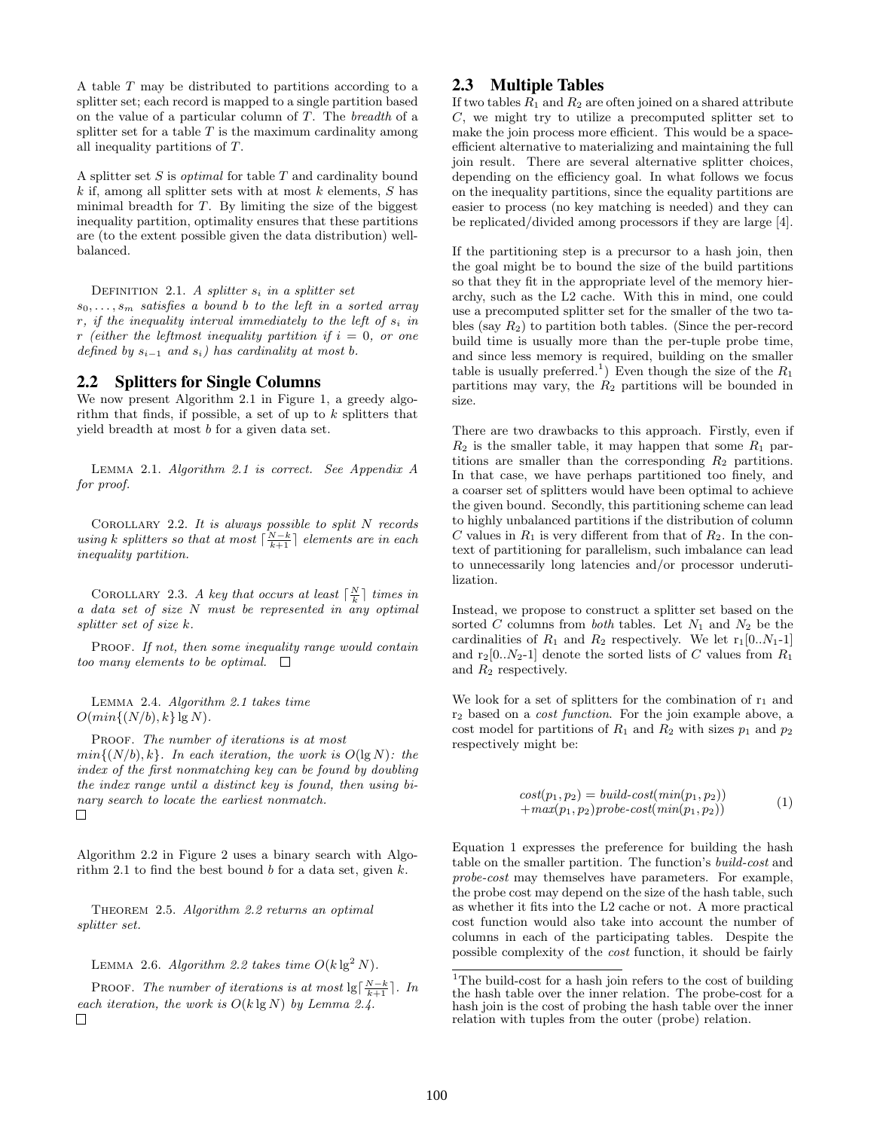A table T may be distributed to partitions according to a splitter set; each record is mapped to a single partition based on the value of a particular column of T. The breadth of a splitter set for a table  $T$  is the maximum cardinality among all inequality partitions of T.

A splitter set  $S$  is *optimal* for table  $T$  and cardinality bound  $k$  if, among all splitter sets with at most  $k$  elements,  $S$  has minimal breadth for  $T$ . By limiting the size of the biggest inequality partition, optimality ensures that these partitions are (to the extent possible given the data distribution) wellbalanced.

DEFINITION 2.1. A splitter  $s_i$  in a splitter set  $s_0, \ldots, s_m$  satisfies a bound b to the left in a sorted array  $r$ , if the inequality interval immediately to the left of  $s_i$  in

# 2.2 Splitters for Single Columns

defined by  $s_{i-1}$  and  $s_i$ ) has cardinality at most b.

We now present Algorithm 2.1 in Figure 1, a greedy algorithm that finds, if possible, a set of up to  $k$  splitters that yield breadth at most b for a given data set.

r (either the leftmost inequality partition if  $i = 0$ , or one

Lemma 2.1. Algorithm 2.1 is correct. See Appendix A for proof.

Corollary 2.2. It is always possible to split N records using k splitters so that at most  $\lceil \frac{N-k}{k+1} \rceil$  elements are in each inequality partition.

COROLLARY 2.3. A key that occurs at least  $\lceil \frac{N}{k} \rceil$  times in a data set of size N must be represented in any optimal splitter set of size k.

PROOF. If not, then some inequality range would contain too many elements to be optimal.  $\square$ 

Lemma 2.4. Algorithm 2.1 takes time  $O(min\{(N/b), k\} \lg N).$ 

PROOF. The number of iterations is at most  $min\{(N/b), k\}$ . In each iteration, the work is  $O(\lg N)$ : the index of the first nonmatching key can be found by doubling the index range until a distinct key is found, then using binary search to locate the earliest nonmatch.  $\Box$ 

Algorithm 2.2 in Figure 2 uses a binary search with Algorithm 2.1 to find the best bound  $b$  for a data set, given  $k$ .

Theorem 2.5. Algorithm 2.2 returns an optimal splitter set.

LEMMA 2.6. Algorithm 2.2 takes time  $O(k \lg^2 N)$ .

PROOF. The number of iterations is at most  $\lg\left[\frac{N-k}{k+1}\right]$ . In each iteration, the work is  $O(k \lg N)$  by Lemma 2.4.  $\Box$ 

### 2.3 Multiple Tables

If two tables  $R_1$  and  $R_2$  are often joined on a shared attribute C, we might try to utilize a precomputed splitter set to make the join process more efficient. This would be a spaceefficient alternative to materializing and maintaining the full join result. There are several alternative splitter choices, depending on the efficiency goal. In what follows we focus on the inequality partitions, since the equality partitions are easier to process (no key matching is needed) and they can be replicated/divided among processors if they are large [4].

If the partitioning step is a precursor to a hash join, then the goal might be to bound the size of the build partitions so that they fit in the appropriate level of the memory hierarchy, such as the L2 cache. With this in mind, one could use a precomputed splitter set for the smaller of the two tables (say  $R_2$ ) to partition both tables. (Since the per-record build time is usually more than the per-tuple probe time, and since less memory is required, building on the smaller table is usually preferred.<sup>1</sup>) Even though the size of the  $R_1$ partitions may vary, the  $R_2$  partitions will be bounded in size.

There are two drawbacks to this approach. Firstly, even if  $R_2$  is the smaller table, it may happen that some  $R_1$  partitions are smaller than the corresponding  $R_2$  partitions. In that case, we have perhaps partitioned too finely, and a coarser set of splitters would have been optimal to achieve the given bound. Secondly, this partitioning scheme can lead to highly unbalanced partitions if the distribution of column C values in  $R_1$  is very different from that of  $R_2$ . In the context of partitioning for parallelism, such imbalance can lead to unnecessarily long latencies and/or processor underutilization.

Instead, we propose to construct a splitter set based on the sorted C columns from both tables. Let  $N_1$  and  $N_2$  be the cardinalities of  $R_1$  and  $R_2$  respectively. We let  $r_1[0..N_1-1]$ and  $r_2[0..N_2-1]$  denote the sorted lists of C values from  $R_1$ and  $R_2$  respectively.

We look for a set of splitters for the combination of  $r_1$  and r<sup>2</sup> based on a cost function. For the join example above, a cost model for partitions of  $R_1$  and  $R_2$  with sizes  $p_1$  and  $p_2$ respectively might be:

$$
cost(p_1, p_2) = build-cost(min(p_1, p_2))
$$
  
+
$$
max(p_1, p_2) probe-cost(min(p_1, p_2))
$$
 (1)

Equation 1 expresses the preference for building the hash table on the smaller partition. The function's build-cost and probe-cost may themselves have parameters. For example, the probe cost may depend on the size of the hash table, such as whether it fits into the L2 cache or not. A more practical cost function would also take into account the number of columns in each of the participating tables. Despite the possible complexity of the cost function, it should be fairly

 $^1\rm{The}$  build-cost for a hash join refers to the cost of building the hash table over the inner relation. The probe-cost for a hash join is the cost of probing the hash table over the inner relation with tuples from the outer (probe) relation.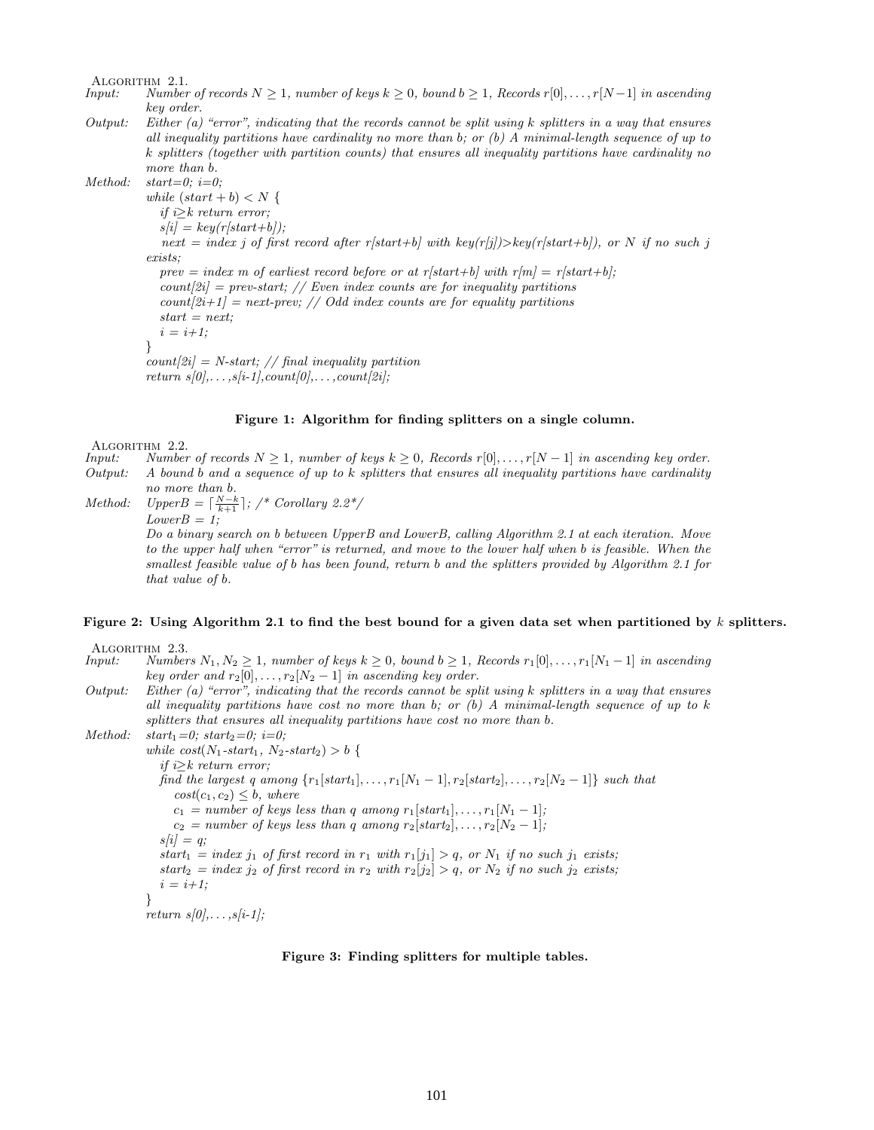ALGORITHM 2.1.<br>Input: Number

- Number of records  $N \geq 1$ , number of keys  $k \geq 0$ , bound  $b \geq 1$ , Records r[0],..., r[N-1] in ascending key order.
- Output: Either (a) "error", indicating that the records cannot be split using k splitters in a way that ensures all inequality partitions have cardinality no more than b; or  $(b)$  A minimal-length sequence of up to k splitters (together with partition counts) that ensures all inequality partitions have cardinality no more than b.

Method:  $start=0$ ;  $i=0$ ;

while  $(start + b) < N$  { if  $i \geq k$  return error;  $s[i] = key(r[start+b]);$ next = index j of first record after r[start+b] with key(r[j])>key(r[start+b]), or N if no such j exists; prev = index m of earliest record before or at r[start+b] with  $r[m] = r[start+b]$ ; count $[2i]$  = prev-start; // Even index counts are for inequality partitions  $count[2i+1] = next-prev; // Odd index counts are for equality partitions$  $start = next$ :  $i = i+1;$ }  $count[2i] = N-start; // final inequality partition$ 

return  $s[0], \ldots, s[i-1], count[0], \ldots, count[2i];$ 

#### Figure 1: Algorithm for finding splitters on a single column.

ALGORITHM 2.2.<br>Input: Number

- *Number of records*  $N \geq 1$ , number of keys  $k \geq 0$ , Records r[0], ..., r[N − 1] in ascending key order.
- Output: A bound b and a sequence of up to  $k$  splitters that ensures all inequality partitions have cardinality no more than b.
- Method:  $UpperB = \lceil \frac{N-k}{k+1} \rceil$ ; /\* Corollary 2.2\*/  $LowerB = 1;$

Do a binary search on b between UpperB and LowerB, calling Algorithm 2.1 at each iteration. Move to the upper half when "error" is returned, and move to the lower half when b is feasible. When the smallest feasible value of b has been found, return b and the splitters provided by Algorithm 2.1 for that value of b.

#### Figure 2: Using Algorithm 2.1 to find the best bound for a given data set when partitioned by  $k$  splitters.

ALGORITHM 2.3.<br>Input: Number

Numbers  $N_1, N_2 ≥ 1$ , number of keys  $k ≥ 0$ , bound  $b ≥ 1$ , Records  $r_1[0], ..., r_1[N_1-1]$  in ascending key order and  $r_2[0], \ldots, r_2[N_2-1]$  in ascending key order.

Output: Either (a) "error", indicating that the records cannot be split using k splitters in a way that ensures all inequality partitions have cost no more than b; or  $(b)$  A minimal-length sequence of up to k splitters that ensures all inequality partitions have cost no more than b.

```
Method: start_1=0; start_2=0; i=0;
            while cost(N_1\text{-}start_1, N_2\text{-}start_2) > b {
               if i > k return error;
              find the largest q among \{r_1[start_1], \ldots, r_1[N_1-1], r_2[start_2], \ldots, r_2[N_2-1]\} such that
                  cost(c_1, c_2) \leq b, where
                 c_1 = number of keys less than q among r_1[start_1], \ldots, r_1[N_1-1];
                 c_2 = number of keys less than q among r_2[start_2], \ldots, r_2[N_2-1];s[i] = q;start_1 = index j_1 of first record in r_1 with r_1[j_1] > q, or N_1 if no such j_1 exists;
               start_2 = index j_2 of first record in r_2 with r_2[j_2] > q, or N_2 if no such j_2 exists;
               i = i+1;
            }
```
 $return s[0], \ldots, s[i-1];$ 

#### Figure 3: Finding splitters for multiple tables.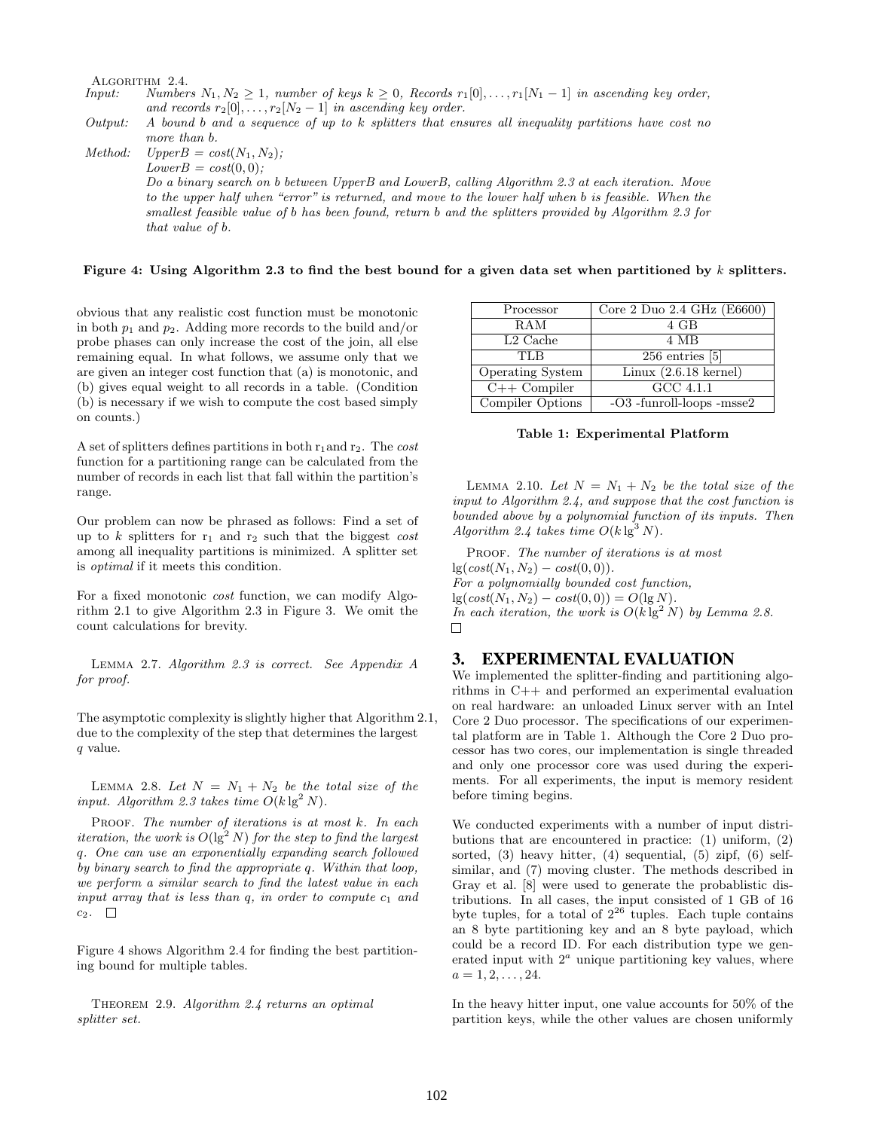ALGORITHM 2.4.<br>Input: Number

*Numbers*  $N_1, N_2 ≥ 1$ , number of keys  $k ≥ 0$ , Records  $r_1[0], ..., r_1[N_1-1]$  in ascending key order, and records  $r_2[0], \ldots, r_2[N_2-1]$  in ascending key order.

Output: A bound b and a sequence of up to k splitters that ensures all inequality partitions have cost no more than b.

Method:  $UpperB = cost(N_1, N_2);$  $LowerB = cost(0, 0);$ Do a binary search on b between UpperB and LowerB, calling Algorithm 2.3 at each iteration. Move to the upper half when "error" is returned, and move to the lower half when b is feasible. When the smallest feasible value of b has been found, return b and the splitters provided by Algorithm 2.3 for that value of b.

#### Figure 4: Using Algorithm 2.3 to find the best bound for a given data set when partitioned by  $k$  splitters.

obvious that any realistic cost function must be monotonic in both  $p_1$  and  $p_2$ . Adding more records to the build and/or probe phases can only increase the cost of the join, all else remaining equal. In what follows, we assume only that we are given an integer cost function that (a) is monotonic, and (b) gives equal weight to all records in a table. (Condition (b) is necessary if we wish to compute the cost based simply on counts.)

A set of splitters defines partitions in both  $r_1$  and  $r_2$ . The cost function for a partitioning range can be calculated from the number of records in each list that fall within the partition's range.

Our problem can now be phrased as follows: Find a set of up to  $k$  splitters for  $r_1$  and  $r_2$  such that the biggest cost among all inequality partitions is minimized. A splitter set is optimal if it meets this condition.

For a fixed monotonic cost function, we can modify Algorithm 2.1 to give Algorithm 2.3 in Figure 3. We omit the count calculations for brevity.

Lemma 2.7. Algorithm 2.3 is correct. See Appendix A for proof.

The asymptotic complexity is slightly higher that Algorithm 2.1, due to the complexity of the step that determines the largest q value.

LEMMA 2.8. Let  $N = N_1 + N_2$  be the total size of the input. Algorithm 2.3 takes time  $O(k \lg^2 N)$ .

PROOF. The number of iterations is at most  $k$ . In each iteration, the work is  $O(\lg^2 N)$  for the step to find the largest q. One can use an exponentially expanding search followed by binary search to find the appropriate q. Within that loop, we perform a similar search to find the latest value in each input array that is less than  $q$ , in order to compute  $c_1$  and  $c_2$ .  $\Box$ 

Figure 4 shows Algorithm 2.4 for finding the best partitioning bound for multiple tables.

THEOREM 2.9. Algorithm 2.4 returns an optimal splitter set.

| Processor               | Core 2 Duo $2.\overline{4}$ GHz (E6600) |
|-------------------------|-----------------------------------------|
| RAM                     | 4 GB                                    |
| $L2$ Cache              | 4 MB                                    |
| TLB                     | $256$ entries $[5]$                     |
| <b>Operating System</b> | Linux $(2.6.18 \text{ kernel})$         |
| $C++$ Compiler          | $\overline{GCC}$ 4.1.1                  |
| Compiler Options        | $-O3$ -funroll-loops -msse2             |

Table 1: Experimental Platform

LEMMA 2.10. Let  $N = N_1 + N_2$  be the total size of the input to Algorithm 2.4, and suppose that the cost function is bounded above by a polynomial function of its inputs. Then Algorithm 2.4 takes time  $O(k \lg^3 N)$ .

PROOF. The number of iterations is at most  $lg(cost(N_1, N_2) - cost(0, 0)).$ For a polynomially bounded cost function,  $\lg(\cos t(N_1, N_2) - \cos t(0, 0)) = O(\lg N).$ In each iteration, the work is  $O(k \lg^2 N)$  by Lemma 2.8.  $\Box$ 

## 3. EXPERIMENTAL EVALUATION

We implemented the splitter-finding and partitioning algorithms in C++ and performed an experimental evaluation on real hardware: an unloaded Linux server with an Intel Core 2 Duo processor. The specifications of our experimental platform are in Table 1. Although the Core 2 Duo processor has two cores, our implementation is single threaded and only one processor core was used during the experiments. For all experiments, the input is memory resident before timing begins.

We conducted experiments with a number of input distributions that are encountered in practice: (1) uniform, (2) sorted, (3) heavy hitter, (4) sequential, (5) zipf, (6) selfsimilar, and (7) moving cluster. The methods described in Gray et al. [8] were used to generate the probablistic distributions. In all cases, the input consisted of 1 GB of 16 byte tuples, for a total of  $2^{26}$  tuples. Each tuple contains an 8 byte partitioning key and an 8 byte payload, which could be a record ID. For each distribution type we generated input with  $2<sup>a</sup>$  unique partitioning key values, where  $a = 1, 2, \ldots, 24.$ 

In the heavy hitter input, one value accounts for 50% of the partition keys, while the other values are chosen uniformly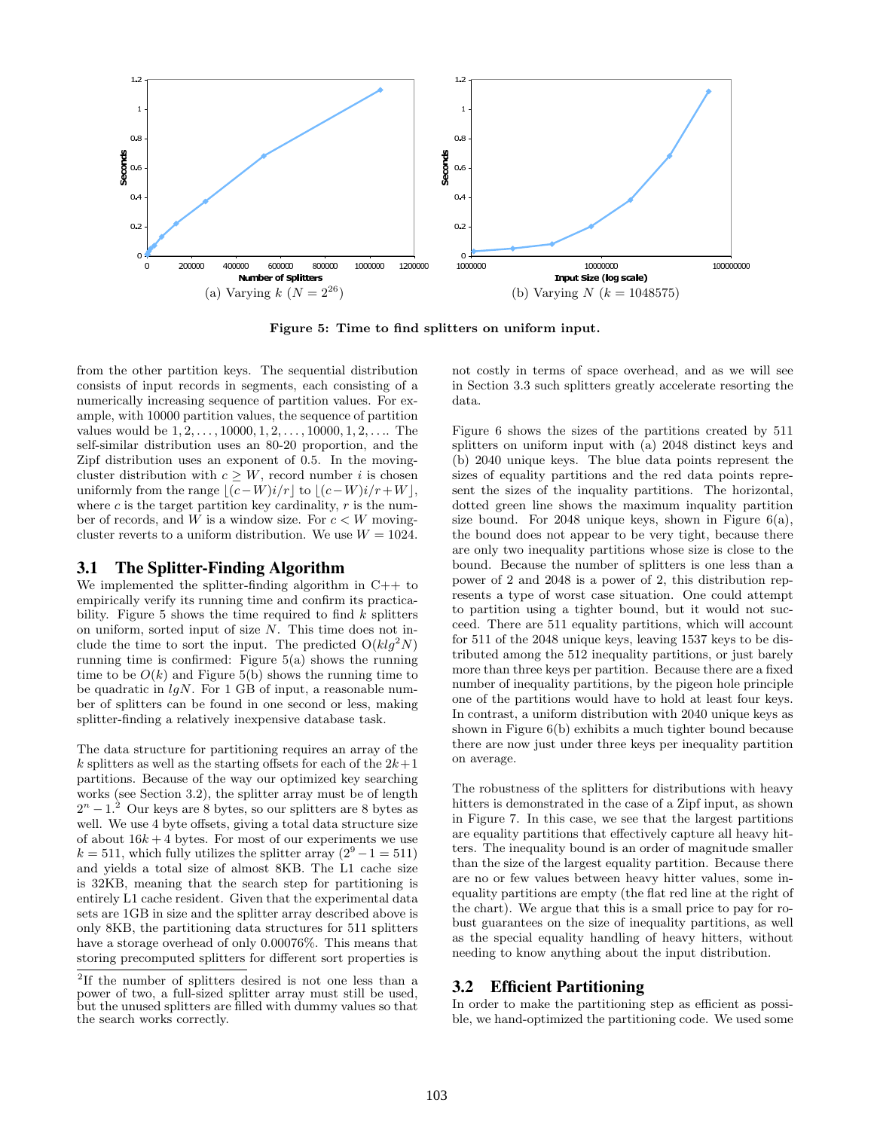

Figure 5: Time to find splitters on uniform input.

from the other partition keys. The sequential distribution consists of input records in segments, each consisting of a numerically increasing sequence of partition values. For example, with 10000 partition values, the sequence of partition values would be  $1, 2, \ldots, 10000, 1, 2, \ldots, 10000, 1, 2, \ldots$  The self-similar distribution uses an 80-20 proportion, and the Zipf distribution uses an exponent of 0.5. In the movingcluster distribution with  $c \geq W$ , record number i is chosen uniformly from the range  $|(c-W)i/r|$  to  $|(c-W)i/r+W|$ , where c is the target partition key cardinality,  $r$  is the number of records, and W is a window size. For  $c < W$  movingcluster reverts to a uniform distribution. We use  $W = 1024$ .

#### 3.1 The Splitter-Finding Algorithm

We implemented the splitter-finding algorithm in C++ to empirically verify its running time and confirm its practicability. Figure 5 shows the time required to find  $k$  splitters on uniform, sorted input of size N. This time does not include the time to sort the input. The predicted  $O(klg^2 N)$ running time is confirmed: Figure 5(a) shows the running time to be  $O(k)$  and Figure 5(b) shows the running time to be quadratic in  $l qN$ . For 1 GB of input, a reasonable number of splitters can be found in one second or less, making splitter-finding a relatively inexpensive database task.

The data structure for partitioning requires an array of the k splitters as well as the starting offsets for each of the  $2k+1$ partitions. Because of the way our optimized key searching works (see Section 3.2), the splitter array must be of length  $2^{n}-1$ <sup>2</sup> Our keys are 8 bytes, so our splitters are 8 bytes as well. We use 4 byte offsets, giving a total data structure size of about  $16k + 4$  bytes. For most of our experiments we use  $k = 511$ , which fully utilizes the splitter array  $(2^9 - 1 = 511)$ and yields a total size of almost 8KB. The L1 cache size is 32KB, meaning that the search step for partitioning is entirely L1 cache resident. Given that the experimental data sets are 1GB in size and the splitter array described above is only 8KB, the partitioning data structures for 511 splitters have a storage overhead of only 0.00076%. This means that storing precomputed splitters for different sort properties is

not costly in terms of space overhead, and as we will see in Section 3.3 such splitters greatly accelerate resorting the data.

Figure 6 shows the sizes of the partitions created by 511 splitters on uniform input with (a) 2048 distinct keys and (b) 2040 unique keys. The blue data points represent the sizes of equality partitions and the red data points represent the sizes of the inquality partitions. The horizontal, dotted green line shows the maximum inquality partition size bound. For  $2048$  unique keys, shown in Figure  $6(a)$ , the bound does not appear to be very tight, because there are only two inequality partitions whose size is close to the bound. Because the number of splitters is one less than a power of 2 and 2048 is a power of 2, this distribution represents a type of worst case situation. One could attempt to partition using a tighter bound, but it would not succeed. There are 511 equality partitions, which will account for 511 of the 2048 unique keys, leaving 1537 keys to be distributed among the 512 inequality partitions, or just barely more than three keys per partition. Because there are a fixed number of inequality partitions, by the pigeon hole principle one of the partitions would have to hold at least four keys. In contrast, a uniform distribution with 2040 unique keys as shown in Figure 6(b) exhibits a much tighter bound because there are now just under three keys per inequality partition on average.

The robustness of the splitters for distributions with heavy hitters is demonstrated in the case of a Zipf input, as shown in Figure 7. In this case, we see that the largest partitions are equality partitions that effectively capture all heavy hitters. The inequality bound is an order of magnitude smaller than the size of the largest equality partition. Because there are no or few values between heavy hitter values, some inequality partitions are empty (the flat red line at the right of the chart). We argue that this is a small price to pay for robust guarantees on the size of inequality partitions, as well as the special equality handling of heavy hitters, without needing to know anything about the input distribution.

#### 3.2 Efficient Partitioning

In order to make the partitioning step as efficient as possible, we hand-optimized the partitioning code. We used some

<sup>2</sup> If the number of splitters desired is not one less than a power of two, a full-sized splitter array must still be used, but the unused splitters are filled with dummy values so that the search works correctly.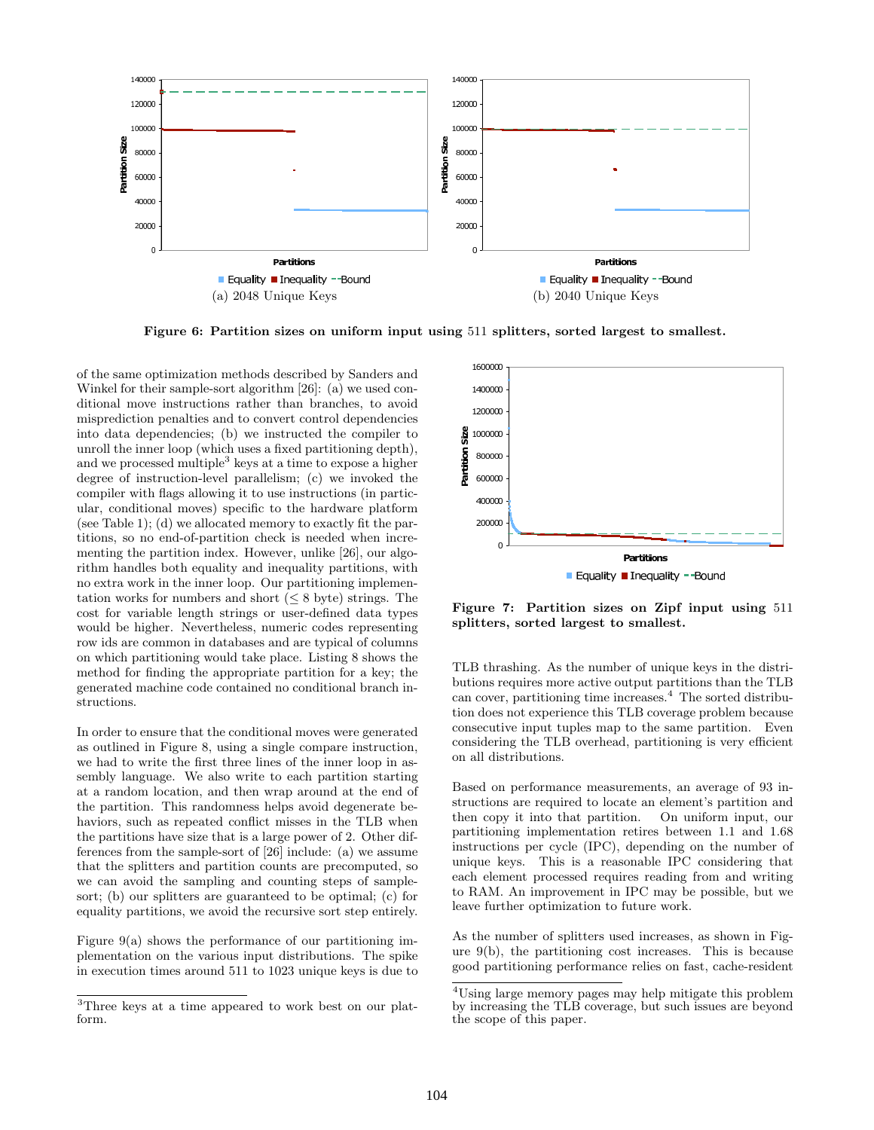

Figure 6: Partition sizes on uniform input using 511 splitters, sorted largest to smallest.

of the same optimization methods described by Sanders and Winkel for their sample-sort algorithm [26]: (a) we used conditional move instructions rather than branches, to avoid misprediction penalties and to convert control dependencies into data dependencies; (b) we instructed the compiler to unroll the inner loop (which uses a fixed partitioning depth), and we processed multiple<sup>3</sup> keys at a time to expose a higher degree of instruction-level parallelism; (c) we invoked the compiler with flags allowing it to use instructions (in particular, conditional moves) specific to the hardware platform (see Table 1); (d) we allocated memory to exactly fit the partitions, so no end-of-partition check is needed when incrementing the partition index. However, unlike [26], our algorithm handles both equality and inequality partitions, with no extra work in the inner loop. Our partitioning implementation works for numbers and short  $(\leq 8$  byte) strings. The cost for variable length strings or user-defined data types would be higher. Nevertheless, numeric codes representing row ids are common in databases and are typical of columns on which partitioning would take place. Listing 8 shows the method for finding the appropriate partition for a key; the generated machine code contained no conditional branch instructions.

In order to ensure that the conditional moves were generated as outlined in Figure 8, using a single compare instruction, we had to write the first three lines of the inner loop in assembly language. We also write to each partition starting at a random location, and then wrap around at the end of the partition. This randomness helps avoid degenerate behaviors, such as repeated conflict misses in the TLB when the partitions have size that is a large power of 2. Other differences from the sample-sort of [26] include: (a) we assume that the splitters and partition counts are precomputed, so we can avoid the sampling and counting steps of samplesort; (b) our splitters are guaranteed to be optimal; (c) for equality partitions, we avoid the recursive sort step entirely.

Figure  $9(a)$  shows the performance of our partitioning implementation on the various input distributions. The spike in execution times around 511 to 1023 unique keys is due to



Figure 7: Partition sizes on Zipf input using 511 splitters, sorted largest to smallest.

TLB thrashing. As the number of unique keys in the distributions requires more active output partitions than the TLB can cover, partitioning time increases.<sup>4</sup> The sorted distribution does not experience this TLB coverage problem because consecutive input tuples map to the same partition. Even considering the TLB overhead, partitioning is very efficient on all distributions.

Based on performance measurements, an average of 93 instructions are required to locate an element's partition and then copy it into that partition. On uniform input, our partitioning implementation retires between 1.1 and 1.68 instructions per cycle (IPC), depending on the number of unique keys. This is a reasonable IPC considering that each element processed requires reading from and writing to RAM. An improvement in IPC may be possible, but we leave further optimization to future work.

As the number of splitters used increases, as shown in Figure 9(b), the partitioning cost increases. This is because good partitioning performance relies on fast, cache-resident

<sup>3</sup>Three keys at a time appeared to work best on our platform.

<sup>&</sup>lt;sup>4</sup>Using large memory pages may help mitigate this problem by increasing the TLB coverage, but such issues are beyond the scope of this paper.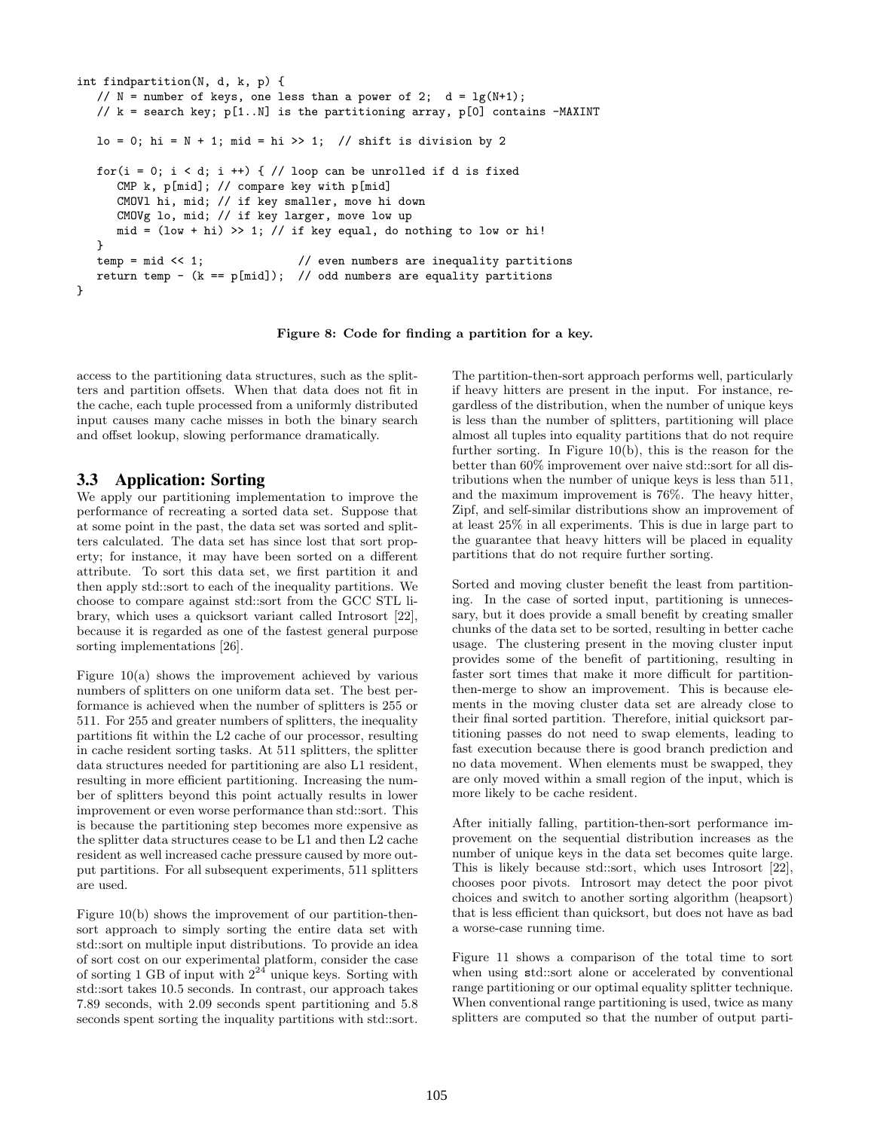```
int findpartition(N, d, k, p) {
   // N = number of keys, one less than a power of 2; d = \lg(N+1);
   // k = search key; p[1..N] is the partitioning array, p[0] contains -MAXINT
   lo = 0; hi = N + 1; mid = hi >> 1; // shift is division by 2
   for(i = 0; i < d; i +) { // loop can be unrolled if d is fixed
      CMP k, p[mid]; // compare key with p[mid]
      CMOVl hi, mid; // if key smaller, move hi down
      CMOVg lo, mid; // if key larger, move low up
     mid = (low + hi) >> 1; // if key equal, do nothing to low or hi!}
   temp = mid << 1; \frac{1}{2} // even numbers are inequality partitions
   return temp - (k == p[\text{mid}]); // odd numbers are equality partitions
}
```
Figure 8: Code for finding a partition for a key.

access to the partitioning data structures, such as the splitters and partition offsets. When that data does not fit in the cache, each tuple processed from a uniformly distributed input causes many cache misses in both the binary search and offset lookup, slowing performance dramatically.

# 3.3 Application: Sorting

We apply our partitioning implementation to improve the performance of recreating a sorted data set. Suppose that at some point in the past, the data set was sorted and splitters calculated. The data set has since lost that sort property; for instance, it may have been sorted on a different attribute. To sort this data set, we first partition it and then apply std::sort to each of the inequality partitions. We choose to compare against std::sort from the GCC STL library, which uses a quicksort variant called Introsort [22], because it is regarded as one of the fastest general purpose sorting implementations [26].

Figure  $10(a)$  shows the improvement achieved by various numbers of splitters on one uniform data set. The best performance is achieved when the number of splitters is 255 or 511. For 255 and greater numbers of splitters, the inequality partitions fit within the L2 cache of our processor, resulting in cache resident sorting tasks. At 511 splitters, the splitter data structures needed for partitioning are also L1 resident, resulting in more efficient partitioning. Increasing the number of splitters beyond this point actually results in lower improvement or even worse performance than std::sort. This is because the partitioning step becomes more expensive as the splitter data structures cease to be L1 and then L2 cache resident as well increased cache pressure caused by more output partitions. For all subsequent experiments, 511 splitters are used.

Figure 10(b) shows the improvement of our partition-thensort approach to simply sorting the entire data set with std::sort on multiple input distributions. To provide an idea of sort cost on our experimental platform, consider the case of sorting 1 GB of input with  $2^{24}$  unique keys. Sorting with std::sort takes 10.5 seconds. In contrast, our approach takes 7.89 seconds, with 2.09 seconds spent partitioning and 5.8 seconds spent sorting the inquality partitions with std::sort.

The partition-then-sort approach performs well, particularly if heavy hitters are present in the input. For instance, regardless of the distribution, when the number of unique keys is less than the number of splitters, partitioning will place almost all tuples into equality partitions that do not require further sorting. In Figure 10(b), this is the reason for the better than 60% improvement over naive std::sort for all distributions when the number of unique keys is less than 511, and the maximum improvement is 76%. The heavy hitter, Zipf, and self-similar distributions show an improvement of at least 25% in all experiments. This is due in large part to the guarantee that heavy hitters will be placed in equality partitions that do not require further sorting.

Sorted and moving cluster benefit the least from partitioning. In the case of sorted input, partitioning is unnecessary, but it does provide a small benefit by creating smaller chunks of the data set to be sorted, resulting in better cache usage. The clustering present in the moving cluster input provides some of the benefit of partitioning, resulting in faster sort times that make it more difficult for partitionthen-merge to show an improvement. This is because elements in the moving cluster data set are already close to their final sorted partition. Therefore, initial quicksort partitioning passes do not need to swap elements, leading to fast execution because there is good branch prediction and no data movement. When elements must be swapped, they are only moved within a small region of the input, which is more likely to be cache resident.

After initially falling, partition-then-sort performance improvement on the sequential distribution increases as the number of unique keys in the data set becomes quite large. This is likely because std::sort, which uses Introsort [22], chooses poor pivots. Introsort may detect the poor pivot choices and switch to another sorting algorithm (heapsort) that is less efficient than quicksort, but does not have as bad a worse-case running time.

Figure 11 shows a comparison of the total time to sort when using std::sort alone or accelerated by conventional range partitioning or our optimal equality splitter technique. When conventional range partitioning is used, twice as many splitters are computed so that the number of output parti-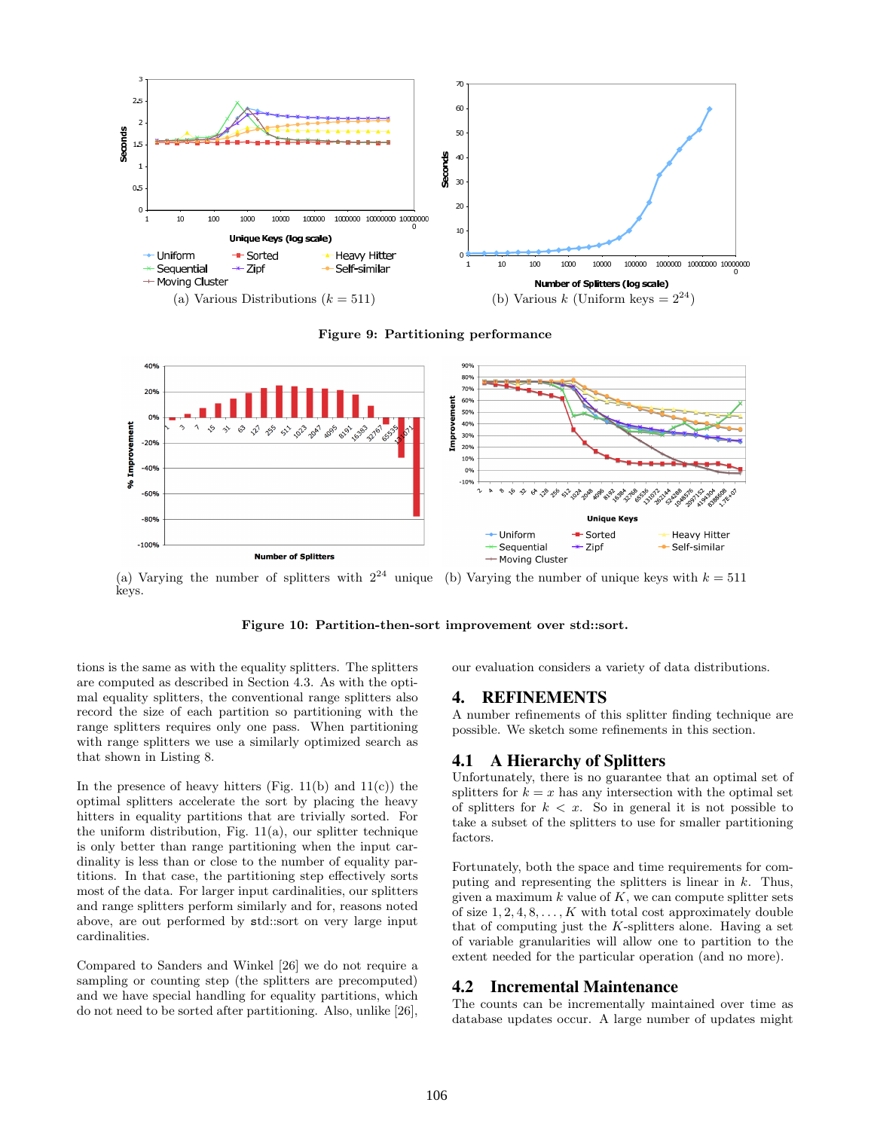

Figure 9: Partitioning performance



(a) Varying the number of splitters with  $2^{24}$  unique (b) Varying the number of unique keys with  $k = 511$ keys.

Figure 10: Partition-then-sort improvement over std::sort.

tions is the same as with the equality splitters. The splitters are computed as described in Section 4.3. As with the optimal equality splitters, the conventional range splitters also record the size of each partition so partitioning with the range splitters requires only one pass. When partitioning with range splitters we use a similarly optimized search as that shown in Listing 8.

In the presence of heavy hitters (Fig.  $11(b)$  and  $11(c)$ ) the optimal splitters accelerate the sort by placing the heavy hitters in equality partitions that are trivially sorted. For the uniform distribution, Fig.  $11(a)$ , our splitter technique is only better than range partitioning when the input cardinality is less than or close to the number of equality partitions. In that case, the partitioning step effectively sorts most of the data. For larger input cardinalities, our splitters and range splitters perform similarly and for, reasons noted above, are out performed by std::sort on very large input cardinalities.

Compared to Sanders and Winkel [26] we do not require a sampling or counting step (the splitters are precomputed) and we have special handling for equality partitions, which do not need to be sorted after partitioning. Also, unlike [26],

our evaluation considers a variety of data distributions.

#### 4. REFINEMENTS

A number refinements of this splitter finding technique are possible. We sketch some refinements in this section.

## 4.1 A Hierarchy of Splitters

Unfortunately, there is no guarantee that an optimal set of splitters for  $k = x$  has any intersection with the optimal set of splitters for  $k < x$ . So in general it is not possible to take a subset of the splitters to use for smaller partitioning factors.

Fortunately, both the space and time requirements for computing and representing the splitters is linear in k. Thus, given a maximum  $k$  value of  $K$ , we can compute splitter sets of size  $1, 2, 4, 8, \ldots, K$  with total cost approximately double that of computing just the  $K$ -splitters alone. Having a set of variable granularities will allow one to partition to the extent needed for the particular operation (and no more).

#### 4.2 Incremental Maintenance

The counts can be incrementally maintained over time as database updates occur. A large number of updates might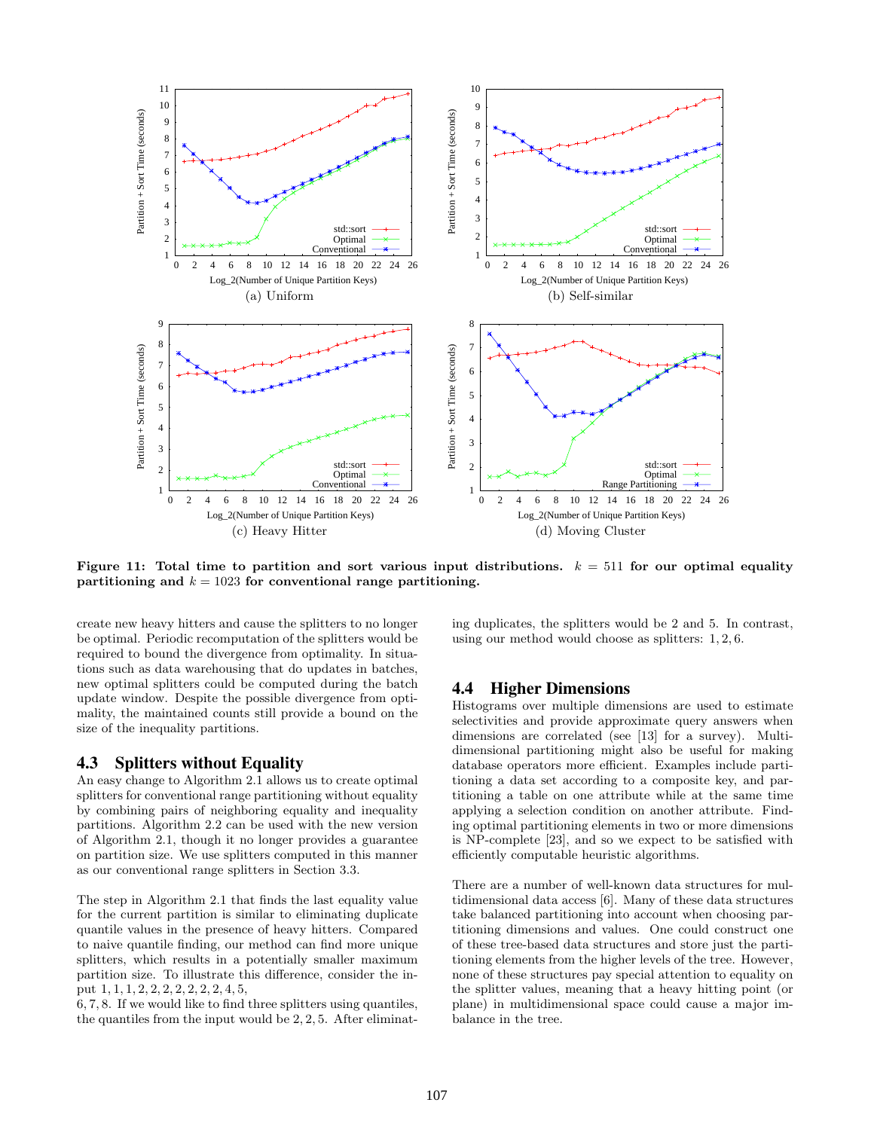

Figure 11: Total time to partition and sort various input distributions.  $k = 511$  for our optimal equality partitioning and  $k = 1023$  for conventional range partitioning.

create new heavy hitters and cause the splitters to no longer be optimal. Periodic recomputation of the splitters would be required to bound the divergence from optimality. In situations such as data warehousing that do updates in batches, new optimal splitters could be computed during the batch update window. Despite the possible divergence from optimality, the maintained counts still provide a bound on the size of the inequality partitions.

#### 4.3 Splitters without Equality

An easy change to Algorithm 2.1 allows us to create optimal splitters for conventional range partitioning without equality by combining pairs of neighboring equality and inequality partitions. Algorithm 2.2 can be used with the new version of Algorithm 2.1, though it no longer provides a guarantee on partition size. We use splitters computed in this manner as our conventional range splitters in Section 3.3.

The step in Algorithm 2.1 that finds the last equality value for the current partition is similar to eliminating duplicate quantile values in the presence of heavy hitters. Compared to naive quantile finding, our method can find more unique splitters, which results in a potentially smaller maximum partition size. To illustrate this difference, consider the input 1, 1, 1, 2, 2, 2, 2, 2, 2, 2, 4, 5,

6, 7, 8. If we would like to find three splitters using quantiles, the quantiles from the input would be 2, 2, 5. After eliminating duplicates, the splitters would be 2 and 5. In contrast, using our method would choose as splitters: 1, 2, 6.

#### 4.4 Higher Dimensions

Histograms over multiple dimensions are used to estimate selectivities and provide approximate query answers when dimensions are correlated (see [13] for a survey). Multidimensional partitioning might also be useful for making database operators more efficient. Examples include partitioning a data set according to a composite key, and partitioning a table on one attribute while at the same time applying a selection condition on another attribute. Finding optimal partitioning elements in two or more dimensions is NP-complete [23], and so we expect to be satisfied with efficiently computable heuristic algorithms.

There are a number of well-known data structures for multidimensional data access [6]. Many of these data structures take balanced partitioning into account when choosing partitioning dimensions and values. One could construct one of these tree-based data structures and store just the partitioning elements from the higher levels of the tree. However, none of these structures pay special attention to equality on the splitter values, meaning that a heavy hitting point (or plane) in multidimensional space could cause a major imbalance in the tree.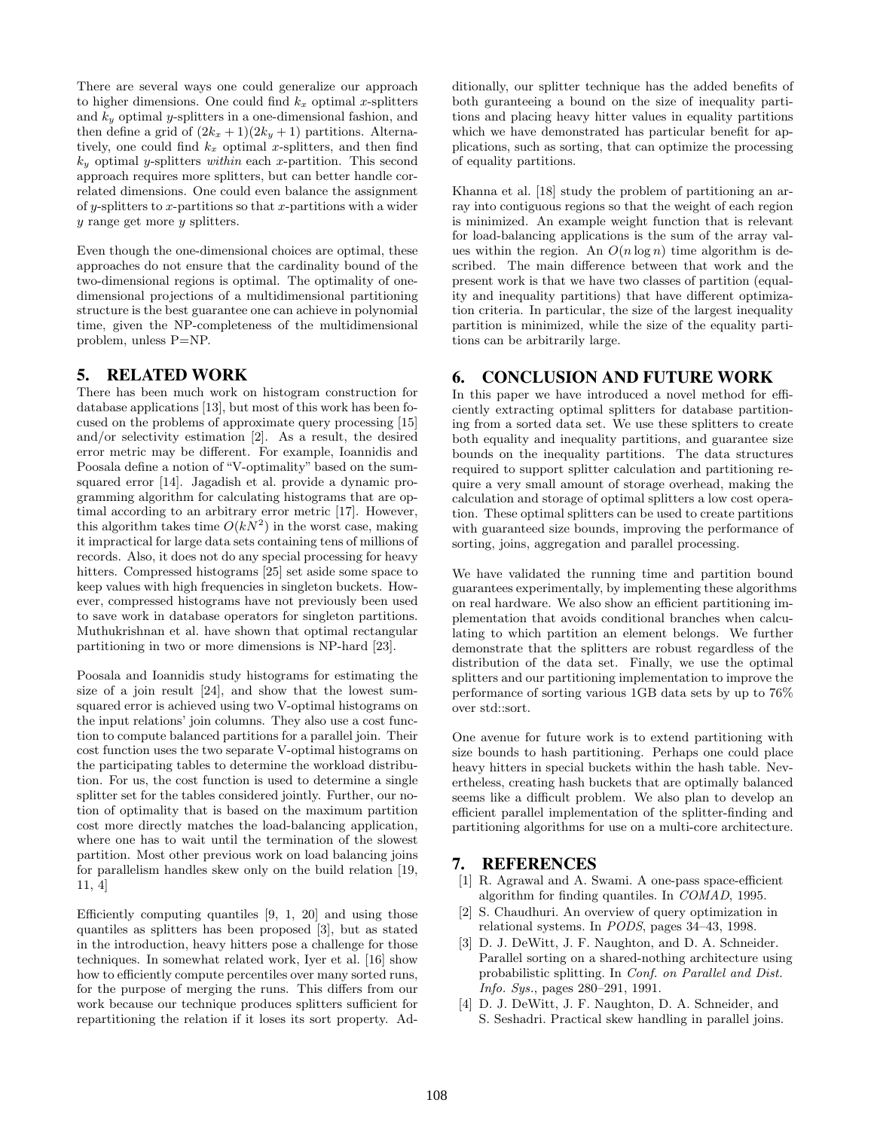There are several ways one could generalize our approach to higher dimensions. One could find  $k_x$  optimal x-splitters and  $k_y$  optimal y-splitters in a one-dimensional fashion, and then define a grid of  $(2k_x + 1)(2k_y + 1)$  partitions. Alternatively, one could find  $k_x$  optimal x-splitters, and then find  $k_y$  optimal y-splitters within each x-partition. This second approach requires more splitters, but can better handle correlated dimensions. One could even balance the assignment of y-splitters to x-partitions so that x-partitions with a wider y range get more y splitters.

Even though the one-dimensional choices are optimal, these approaches do not ensure that the cardinality bound of the two-dimensional regions is optimal. The optimality of onedimensional projections of a multidimensional partitioning structure is the best guarantee one can achieve in polynomial time, given the NP-completeness of the multidimensional problem, unless P=NP.

### 5. RELATED WORK

There has been much work on histogram construction for database applications [13], but most of this work has been focused on the problems of approximate query processing [15] and/or selectivity estimation [2]. As a result, the desired error metric may be different. For example, Ioannidis and Poosala define a notion of "V-optimality" based on the sumsquared error [14]. Jagadish et al. provide a dynamic programming algorithm for calculating histograms that are optimal according to an arbitrary error metric [17]. However, this algorithm takes time  $O(kN^2)$  in the worst case, making it impractical for large data sets containing tens of millions of records. Also, it does not do any special processing for heavy hitters. Compressed histograms [25] set aside some space to keep values with high frequencies in singleton buckets. However, compressed histograms have not previously been used to save work in database operators for singleton partitions. Muthukrishnan et al. have shown that optimal rectangular partitioning in two or more dimensions is NP-hard [23].

Poosala and Ioannidis study histograms for estimating the size of a join result [24], and show that the lowest sumsquared error is achieved using two V-optimal histograms on the input relations' join columns. They also use a cost function to compute balanced partitions for a parallel join. Their cost function uses the two separate V-optimal histograms on the participating tables to determine the workload distribution. For us, the cost function is used to determine a single splitter set for the tables considered jointly. Further, our notion of optimality that is based on the maximum partition cost more directly matches the load-balancing application, where one has to wait until the termination of the slowest partition. Most other previous work on load balancing joins for parallelism handles skew only on the build relation [19, 11, 4]

Efficiently computing quantiles [9, 1, 20] and using those quantiles as splitters has been proposed [3], but as stated in the introduction, heavy hitters pose a challenge for those techniques. In somewhat related work, Iyer et al. [16] show how to efficiently compute percentiles over many sorted runs, for the purpose of merging the runs. This differs from our work because our technique produces splitters sufficient for repartitioning the relation if it loses its sort property. Additionally, our splitter technique has the added benefits of both guranteeing a bound on the size of inequality partitions and placing heavy hitter values in equality partitions which we have demonstrated has particular benefit for applications, such as sorting, that can optimize the processing of equality partitions.

Khanna et al. [18] study the problem of partitioning an array into contiguous regions so that the weight of each region is minimized. An example weight function that is relevant for load-balancing applications is the sum of the array values within the region. An  $O(n \log n)$  time algorithm is described. The main difference between that work and the present work is that we have two classes of partition (equality and inequality partitions) that have different optimization criteria. In particular, the size of the largest inequality partition is minimized, while the size of the equality partitions can be arbitrarily large.

### 6. CONCLUSION AND FUTURE WORK

In this paper we have introduced a novel method for efficiently extracting optimal splitters for database partitioning from a sorted data set. We use these splitters to create both equality and inequality partitions, and guarantee size bounds on the inequality partitions. The data structures required to support splitter calculation and partitioning require a very small amount of storage overhead, making the calculation and storage of optimal splitters a low cost operation. These optimal splitters can be used to create partitions with guaranteed size bounds, improving the performance of sorting, joins, aggregation and parallel processing.

We have validated the running time and partition bound guarantees experimentally, by implementing these algorithms on real hardware. We also show an efficient partitioning implementation that avoids conditional branches when calculating to which partition an element belongs. We further demonstrate that the splitters are robust regardless of the distribution of the data set. Finally, we use the optimal splitters and our partitioning implementation to improve the performance of sorting various 1GB data sets by up to 76% over std::sort.

One avenue for future work is to extend partitioning with size bounds to hash partitioning. Perhaps one could place heavy hitters in special buckets within the hash table. Nevertheless, creating hash buckets that are optimally balanced seems like a difficult problem. We also plan to develop an efficient parallel implementation of the splitter-finding and partitioning algorithms for use on a multi-core architecture.

## 7. REFERENCES

- [1] R. Agrawal and A. Swami. A one-pass space-efficient algorithm for finding quantiles. In COMAD, 1995.
- [2] S. Chaudhuri. An overview of query optimization in relational systems. In PODS, pages 34–43, 1998.
- [3] D. J. DeWitt, J. F. Naughton, and D. A. Schneider. Parallel sorting on a shared-nothing architecture using probabilistic splitting. In Conf. on Parallel and Dist. Info. Sys., pages 280–291, 1991.
- [4] D. J. DeWitt, J. F. Naughton, D. A. Schneider, and S. Seshadri. Practical skew handling in parallel joins.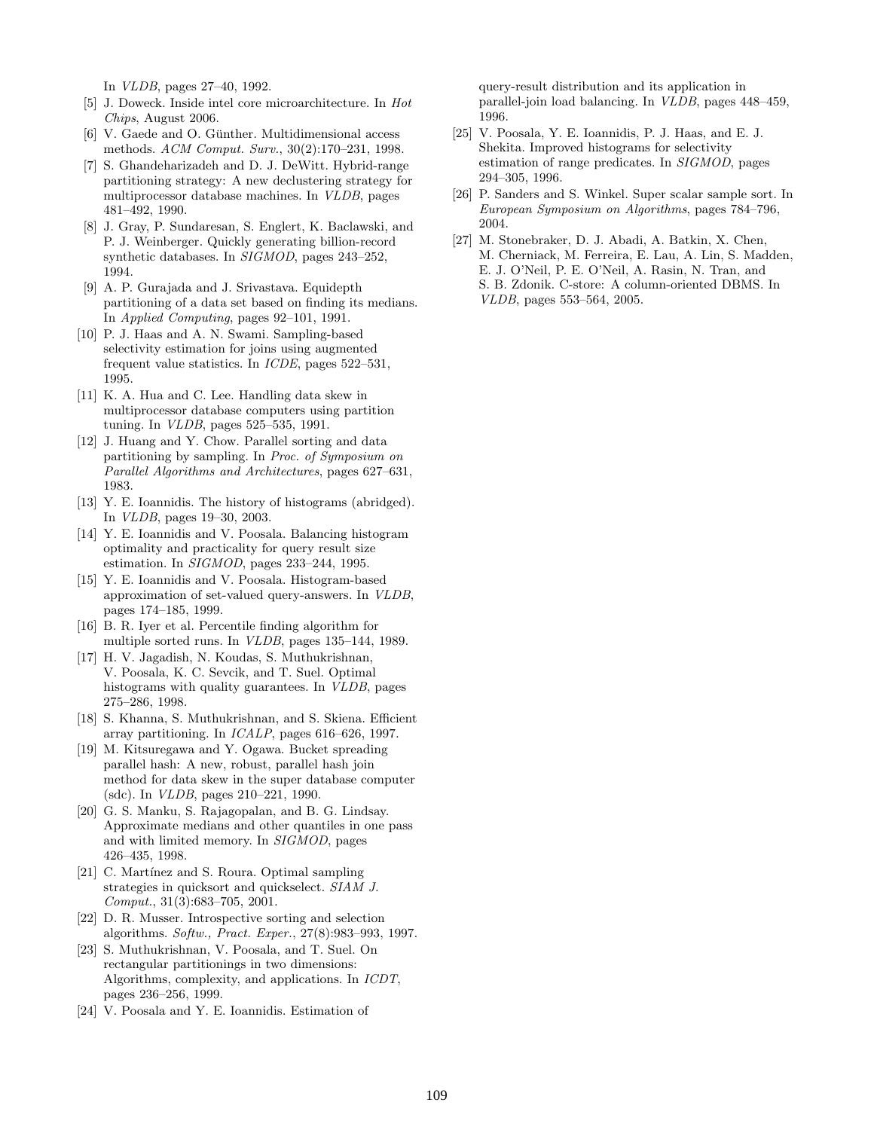In VLDB, pages 27–40, 1992.

- [5] J. Doweck. Inside intel core microarchitecture. In Hot Chips, August 2006.
- [6] V. Gaede and O. Günther. Multidimensional access methods. ACM Comput. Surv., 30(2):170–231, 1998.
- [7] S. Ghandeharizadeh and D. J. DeWitt. Hybrid-range partitioning strategy: A new declustering strategy for multiprocessor database machines. In VLDB, pages 481–492, 1990.
- [8] J. Gray, P. Sundaresan, S. Englert, K. Baclawski, and P. J. Weinberger. Quickly generating billion-record synthetic databases. In SIGMOD, pages 243–252, 1994.
- [9] A. P. Gurajada and J. Srivastava. Equidepth partitioning of a data set based on finding its medians. In Applied Computing, pages 92–101, 1991.
- [10] P. J. Haas and A. N. Swami. Sampling-based selectivity estimation for joins using augmented frequent value statistics. In ICDE, pages 522–531, 1995.
- [11] K. A. Hua and C. Lee. Handling data skew in multiprocessor database computers using partition tuning. In VLDB, pages 525–535, 1991.
- [12] J. Huang and Y. Chow. Parallel sorting and data partitioning by sampling. In Proc. of Symposium on Parallel Algorithms and Architectures, pages 627–631, 1983.
- [13] Y. E. Ioannidis. The history of histograms (abridged). In VLDB, pages 19–30, 2003.
- [14] Y. E. Ioannidis and V. Poosala. Balancing histogram optimality and practicality for query result size estimation. In SIGMOD, pages 233–244, 1995.
- [15] Y. E. Ioannidis and V. Poosala. Histogram-based approximation of set-valued query-answers. In VLDB, pages 174–185, 1999.
- [16] B. R. Iyer et al. Percentile finding algorithm for multiple sorted runs. In VLDB, pages 135–144, 1989.
- [17] H. V. Jagadish, N. Koudas, S. Muthukrishnan, V. Poosala, K. C. Sevcik, and T. Suel. Optimal histograms with quality guarantees. In VLDB, pages 275–286, 1998.
- [18] S. Khanna, S. Muthukrishnan, and S. Skiena. Efficient array partitioning. In ICALP, pages 616–626, 1997.
- [19] M. Kitsuregawa and Y. Ogawa. Bucket spreading parallel hash: A new, robust, parallel hash join method for data skew in the super database computer (sdc). In VLDB, pages 210–221, 1990.
- [20] G. S. Manku, S. Rajagopalan, and B. G. Lindsay. Approximate medians and other quantiles in one pass and with limited memory. In SIGMOD, pages 426–435, 1998.
- [21] C. Martínez and S. Roura. Optimal sampling strategies in quicksort and quickselect. SIAM J. Comput., 31(3):683–705, 2001.
- [22] D. R. Musser. Introspective sorting and selection algorithms. Softw., Pract. Exper., 27(8):983–993, 1997.
- [23] S. Muthukrishnan, V. Poosala, and T. Suel. On rectangular partitionings in two dimensions: Algorithms, complexity, and applications. In ICDT, pages 236–256, 1999.
- [24] V. Poosala and Y. E. Ioannidis. Estimation of

query-result distribution and its application in parallel-join load balancing. In VLDB, pages 448–459, 1996.

- [25] V. Poosala, Y. E. Ioannidis, P. J. Haas, and E. J. Shekita. Improved histograms for selectivity estimation of range predicates. In SIGMOD, pages 294–305, 1996.
- [26] P. Sanders and S. Winkel. Super scalar sample sort. In European Symposium on Algorithms, pages 784–796, 2004.
- [27] M. Stonebraker, D. J. Abadi, A. Batkin, X. Chen, M. Cherniack, M. Ferreira, E. Lau, A. Lin, S. Madden, E. J. O'Neil, P. E. O'Neil, A. Rasin, N. Tran, and S. B. Zdonik. C-store: A column-oriented DBMS. In VLDB, pages 553–564, 2005.